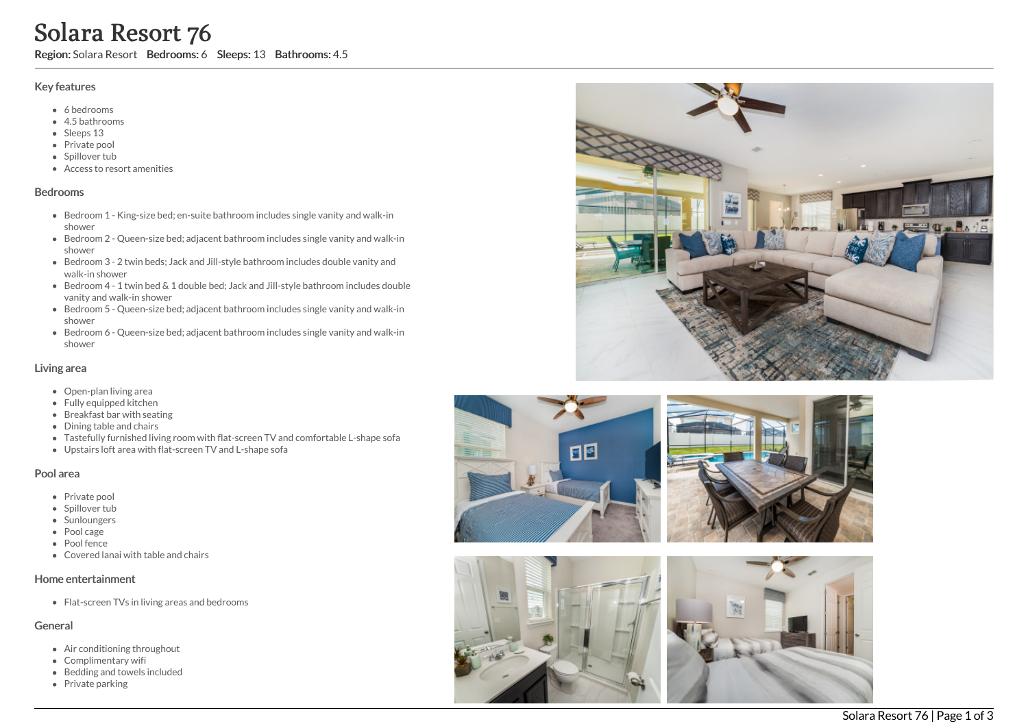# Solara Resort 76

Region: Solara Resort Bedrooms: 6 Sleeps: 13 Bathrooms: 4.5

## Key features

- 6 b e d r o o m s
- 4.5 b a t h r o o m s
- Sleeps 13
- Private pool
- Spillover tub
- Access to resort amenities

### **Bedrooms**

- Bedroom 1 King-size bed; en-suite bathroom includes single vanity and walk-in s h o w e r
- Bedroom 2 Queen-size bed; adjacent bathroom includes single vanity and walk-in s h o w e r
- Bedroom 3 2 twin beds; Jack and Jill-style bathroom includes double vanity and walk-in shower
- Bedroom 4 1 twin bed & 1 double bed; Jack and Jill-style bathroom includes double vanity and walk-in shower
- Bedroom 5 Queen-size bed; adjacent bathroom includes single vanity and walk-in s h o w e r
- Bedroom 6 Queen-size bed; adjacent bathroom includes single vanity and walk-in s h o w e r

## Living area

- Open-plan living area
- Fully equipped kitchen
- Breakfast bar with seating
- Dining table and chairs
- Tastefully furnished living room with flat-screen TV and comfortable L-shape sofa
- Upstairs loft area with flat-screen TV and L-shape sofa

## Pool area

- Private pool
- Spillover tub
- Sunloungers
- Pool cage
- Pool fence
- Covered lanai with table and chairs

## Home entertainment

Flat-screen TVs in living areas and bedrooms

## General

- Air conditioning throughout
- Complimentary wifi
- Bedding and towels in clu d e d
- Private parking





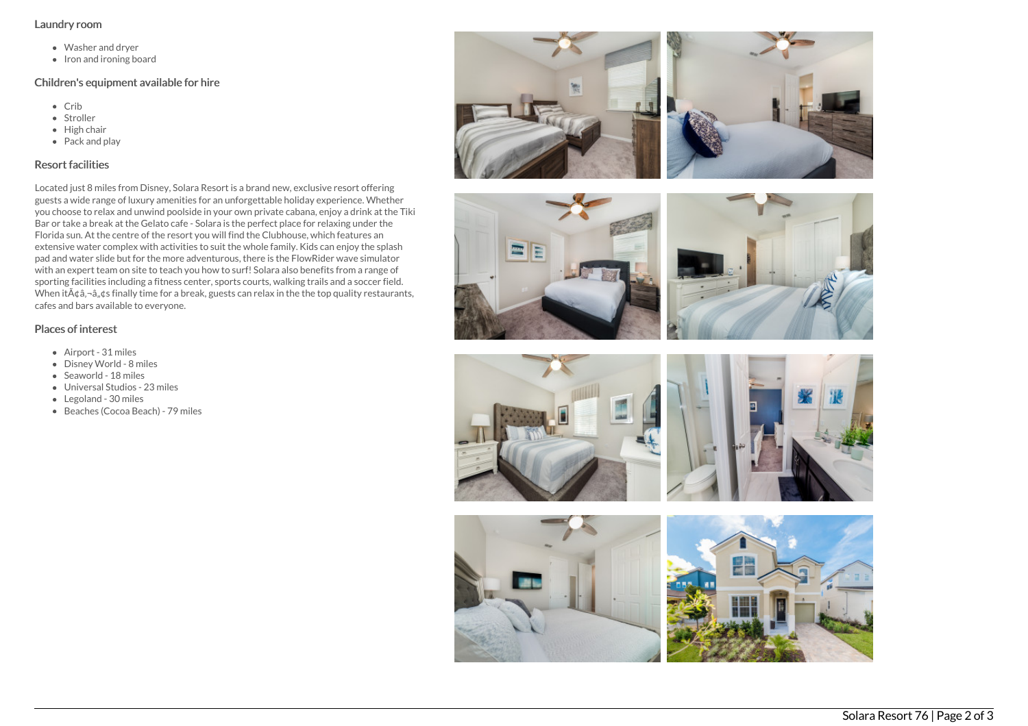#### Laundry room

- Washer and dryer
- Iron and ironing board

## Children's equipment available for hire

- Crib
- Stroller
- $\bullet$  High chair
- Pack and play

## Resort facilities

Located just 8 miles from Disney, Solara Resort is a brand new, exclusive resort offering guests a wide range of luxury amenities for an unforgettable holiday experience. Whether you choose to relax and unwind poolside in your own private cabana, enjoy a drink at the Tiki Bar or take a break at the Gelato cafe - Solara is the perfect place for relaxing under the Florida sun. At the centre of the resort you will find the Clubhouse, which features an extensive water complex with activities to suit the whole family. Kids can enjoy the splash pad and water slide but for the more adventurous, there is the FlowRider wave simulator with an expert team on site to teach you how to surf! Solara also benefits from a range of sporting facilities including a fitness center, sports courts, walking trails and a soccer field. When it  $\tilde{A}$  t  $\hat{a}$ ,  $\hat{a}$ ,  $\hat{a}$  s finally time for a break, guests can relax in the the top quality restaurants, cafes and bars available to everyone.

## Places of interest

- Airport 31 miles
- Disney World 8 miles
- Seaworld 18 miles
- Universal Studios 23 miles
- Legoland 30 miles
- Beaches (Cocoa Beach) 79 miles